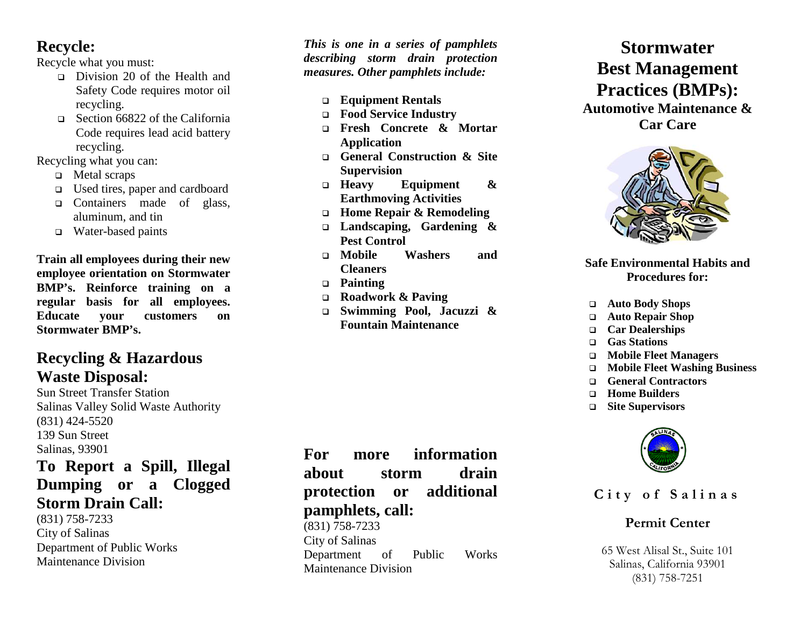# **Recycle:**

Recycle what you must:

- Division 20 of the Health and Safety Code requires motor oil recycling.
- □ Section 66822 of the California Code requires lead acid battery recycling.

Recycling what you can:

- □ Metal scraps
- Used tires, paper and cardboard
- □ Containers made of glass, aluminum, and tin
- Water -based paints

**Train all employees during their new employee orientation on Stormwater BMP's. Reinforce training on a regular basis for all employees. Educate your customers on Stormwater BMP's.**

# **Recycling & Hazardous Waste Disposal:**

Sun Street Transfer Station Salinas Valley Solid Waste Authority (831) 424 -5520 139 Sun Street Salinas, 93901

# **To Report a Spill, Illegal Dumping or a Clogged Storm Drain Call:**

(831) 758 -7233 City of Salinas Department of Public Works Maintenance Division

*This is one in a series of pamphlets describing storm drain protection measures. Other pamphlets include:*

- **Equipment Rentals**
- **Food Service Industry**
- **Fresh Concrete & Mortar Application**
- **General Construction & Site Supervision**
- **Heavy Equipment & Earthmoving Activities**
- **Home Repair & Remodeling**
- **Landscaping, Gardening & Pest Control**
- **Mobile Washers and Cleaners**
- **Painting**
- **Roadwork & Paving**
- **Swimming Pool, Jacuzzi & Fountain Maintenance**

**For more information about storm drain protection or additional pamphlets, call:** (831) 758 -7233 City of Salinas Department of Public Works Maintenance Division

**Stormwater Best Management Practices (BMPs): Automotive Maintenance &** 

**Car Care**



#### **Safe Environmental Habits and Procedures for:**

- **Auto Body Shops**
- **Auto Repair Shop**
- **Car Dealerships**
- **Gas Stations**
- **Mobile Fleet Managers**
- **Mobile Fleet Washing Business**
- **General Contractors**
- **Home Builders**
- **Site Supervisors**



**City of Salinas**

## **Permit Center**

65 West Alisal St., Suite 101 Salinas, California 93901 (831) 758 -7251